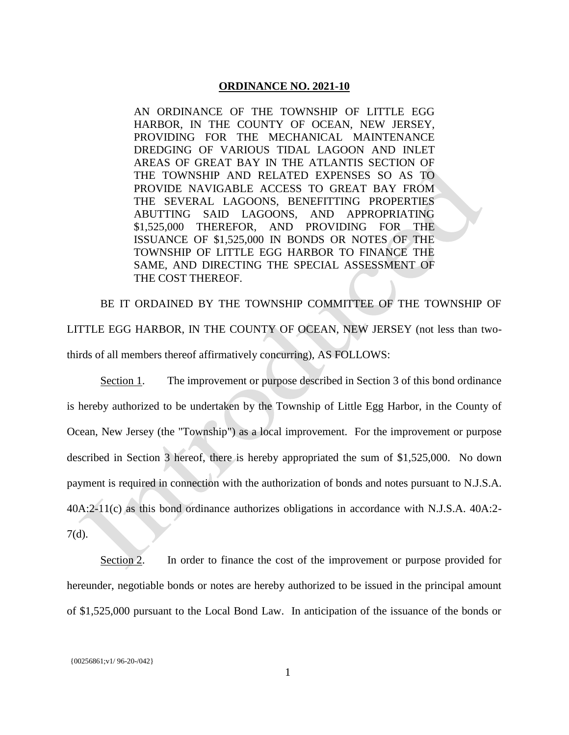## **ORDINANCE NO. 2021-10**

AN ORDINANCE OF THE TOWNSHIP OF LITTLE EGG HARBOR, IN THE COUNTY OF OCEAN, NEW JERSEY, PROVIDING FOR THE MECHANICAL MAINTENANCE DREDGING OF VARIOUS TIDAL LAGOON AND INLET AREAS OF GREAT BAY IN THE ATLANTIS SECTION OF THE TOWNSHIP AND RELATED EXPENSES SO AS TO PROVIDE NAVIGABLE ACCESS TO GREAT BAY FROM THE SEVERAL LAGOONS, BENEFITTING PROPERTIES ABUTTING SAID LAGOONS, AND APPROPRIATING \$1,525,000 THEREFOR, AND PROVIDING FOR THE ISSUANCE OF \$1,525,000 IN BONDS OR NOTES OF THE TOWNSHIP OF LITTLE EGG HARBOR TO FINANCE THE SAME, AND DIRECTING THE SPECIAL ASSESSMENT OF THE COST THEREOF.

BE IT ORDAINED BY THE TOWNSHIP COMMITTEE OF THE TOWNSHIP OF LITTLE EGG HARBOR, IN THE COUNTY OF OCEAN, NEW JERSEY (not less than twothirds of all members thereof affirmatively concurring), AS FOLLOWS:

Section 1. The improvement or purpose described in Section 3 of this bond ordinance is hereby authorized to be undertaken by the Township of Little Egg Harbor, in the County of Ocean, New Jersey (the "Township") as a local improvement. For the improvement or purpose described in Section 3 hereof, there is hereby appropriated the sum of \$1,525,000. No down payment is required in connection with the authorization of bonds and notes pursuant to N.J.S.A. 40A:2-11(c) as this bond ordinance authorizes obligations in accordance with N.J.S.A. 40A:2- 7(d).

Section 2. In order to finance the cost of the improvement or purpose provided for hereunder, negotiable bonds or notes are hereby authorized to be issued in the principal amount of \$1,525,000 pursuant to the Local Bond Law. In anticipation of the issuance of the bonds or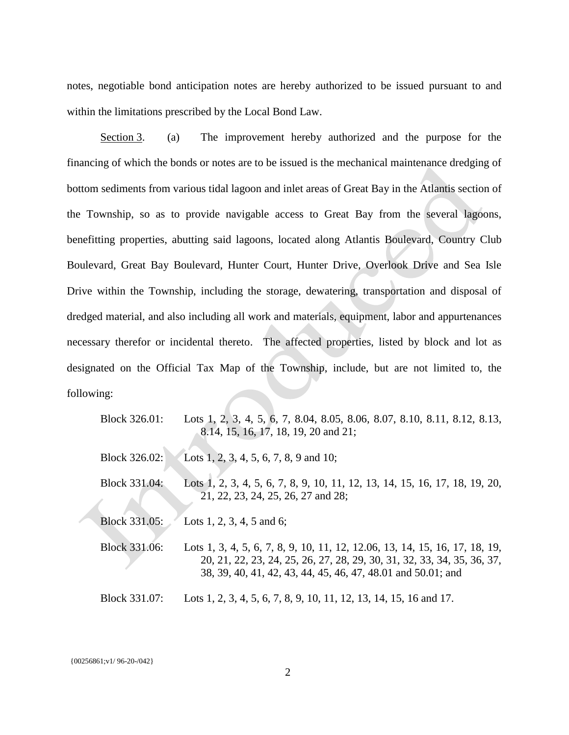notes, negotiable bond anticipation notes are hereby authorized to be issued pursuant to and within the limitations prescribed by the Local Bond Law.

Section 3. (a) The improvement hereby authorized and the purpose for the financing of which the bonds or notes are to be issued is the mechanical maintenance dredging of bottom sediments from various tidal lagoon and inlet areas of Great Bay in the Atlantis section of the Township, so as to provide navigable access to Great Bay from the several lagoons, benefitting properties, abutting said lagoons, located along Atlantis Boulevard, Country Club Boulevard, Great Bay Boulevard, Hunter Court, Hunter Drive, Overlook Drive and Sea Isle Drive within the Township, including the storage, dewatering, transportation and disposal of dredged material, and also including all work and materials, equipment, labor and appurtenances necessary therefor or incidental thereto. The affected properties, listed by block and lot as designated on the Official Tax Map of the Township, include, but are not limited to, the following:

| Block 326.01: | Lots 1, 2, 3, 4, 5, 6, 7, 8.04, 8.05, 8.06, 8.07, 8.10, 8.11, 8.12, 8.13,<br>8.14, 15, 16, 17, 18, 19, 20 and 21;                                                                                                      |
|---------------|------------------------------------------------------------------------------------------------------------------------------------------------------------------------------------------------------------------------|
| Block 326.02: | Lots 1, 2, 3, 4, 5, 6, 7, 8, 9 and 10;                                                                                                                                                                                 |
| Block 331.04: | Lots 1, 2, 3, 4, 5, 6, 7, 8, 9, 10, 11, 12, 13, 14, 15, 16, 17, 18, 19, 20,<br>21, 22, 23, 24, 25, 26, 27 and 28;                                                                                                      |
| Block 331.05: | Lots 1, 2, 3, 4, 5 and 6;                                                                                                                                                                                              |
| Block 331.06: | Lots 1, 3, 4, 5, 6, 7, 8, 9, 10, 11, 12, 12.06, 13, 14, 15, 16, 17, 18, 19,<br>20, 21, 22, 23, 24, 25, 26, 27, 28, 29, 30, 31, 32, 33, 34, 35, 36, 37,<br>38, 39, 40, 41, 42, 43, 44, 45, 46, 47, 48.01 and 50.01; and |
| Block 331.07: | Lots 1, 2, 3, 4, 5, 6, 7, 8, 9, 10, 11, 12, 13, 14, 15, 16 and 17.                                                                                                                                                     |

{00256861;v1/ 96-20-/042}

2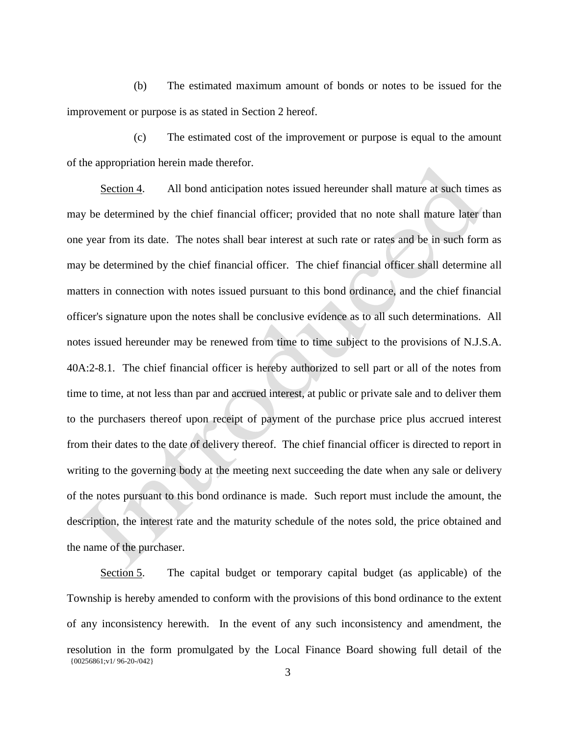(b) The estimated maximum amount of bonds or notes to be issued for the improvement or purpose is as stated in Section 2 hereof.

(c) The estimated cost of the improvement or purpose is equal to the amount of the appropriation herein made therefor.

Section 4. All bond anticipation notes issued hereunder shall mature at such times as may be determined by the chief financial officer; provided that no note shall mature later than one year from its date. The notes shall bear interest at such rate or rates and be in such form as may be determined by the chief financial officer. The chief financial officer shall determine all matters in connection with notes issued pursuant to this bond ordinance, and the chief financial officer's signature upon the notes shall be conclusive evidence as to all such determinations. All notes issued hereunder may be renewed from time to time subject to the provisions of N.J.S.A. 40A:2-8.1. The chief financial officer is hereby authorized to sell part or all of the notes from time to time, at not less than par and accrued interest, at public or private sale and to deliver them to the purchasers thereof upon receipt of payment of the purchase price plus accrued interest from their dates to the date of delivery thereof. The chief financial officer is directed to report in writing to the governing body at the meeting next succeeding the date when any sale or delivery of the notes pursuant to this bond ordinance is made. Such report must include the amount, the description, the interest rate and the maturity schedule of the notes sold, the price obtained and the name of the purchaser.

{00256861;v1/ 96-20-/042} Section 5. The capital budget or temporary capital budget (as applicable) of the Township is hereby amended to conform with the provisions of this bond ordinance to the extent of any inconsistency herewith. In the event of any such inconsistency and amendment, the resolution in the form promulgated by the Local Finance Board showing full detail of the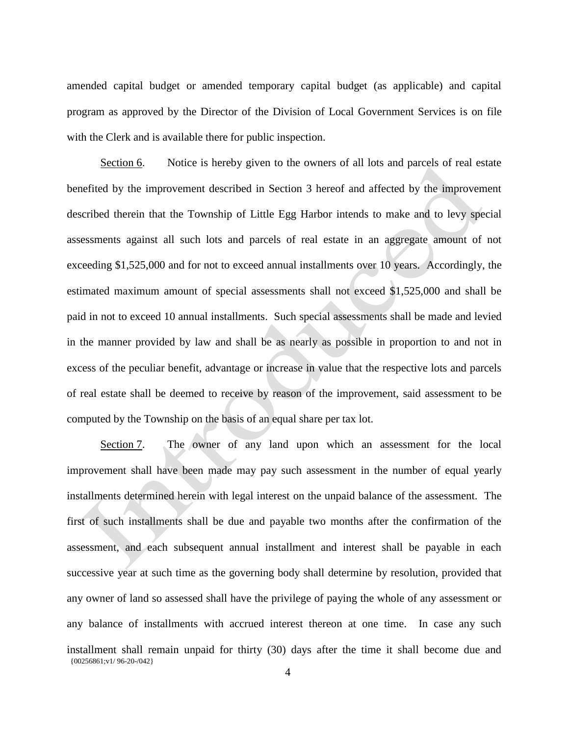amended capital budget or amended temporary capital budget (as applicable) and capital program as approved by the Director of the Division of Local Government Services is on file with the Clerk and is available there for public inspection.

Section 6. Notice is hereby given to the owners of all lots and parcels of real estate benefited by the improvement described in Section 3 hereof and affected by the improvement described therein that the Township of Little Egg Harbor intends to make and to levy special assessments against all such lots and parcels of real estate in an aggregate amount of not exceeding \$1,525,000 and for not to exceed annual installments over 10 years. Accordingly, the estimated maximum amount of special assessments shall not exceed \$1,525,000 and shall be paid in not to exceed 10 annual installments. Such special assessments shall be made and levied in the manner provided by law and shall be as nearly as possible in proportion to and not in excess of the peculiar benefit, advantage or increase in value that the respective lots and parcels of real estate shall be deemed to receive by reason of the improvement, said assessment to be computed by the Township on the basis of an equal share per tax lot.

{00256861;v1/ 96-20-/042} Section 7. The owner of any land upon which an assessment for the local improvement shall have been made may pay such assessment in the number of equal yearly installments determined herein with legal interest on the unpaid balance of the assessment. The first of such installments shall be due and payable two months after the confirmation of the assessment, and each subsequent annual installment and interest shall be payable in each successive year at such time as the governing body shall determine by resolution, provided that any owner of land so assessed shall have the privilege of paying the whole of any assessment or any balance of installments with accrued interest thereon at one time. In case any such installment shall remain unpaid for thirty (30) days after the time it shall become due and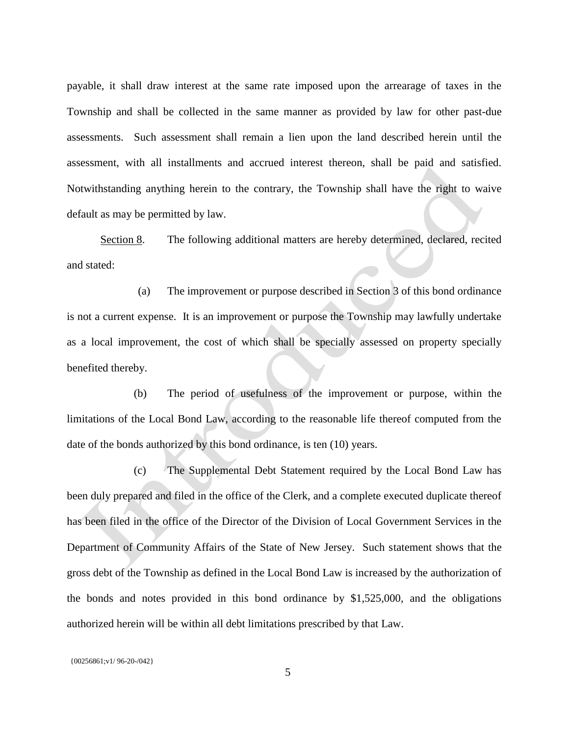payable, it shall draw interest at the same rate imposed upon the arrearage of taxes in the Township and shall be collected in the same manner as provided by law for other past-due assessments. Such assessment shall remain a lien upon the land described herein until the assessment, with all installments and accrued interest thereon, shall be paid and satisfied. Notwithstanding anything herein to the contrary, the Township shall have the right to waive default as may be permitted by law.

Section 8. The following additional matters are hereby determined, declared, recited and stated:

(a) The improvement or purpose described in Section 3 of this bond ordinance is not a current expense. It is an improvement or purpose the Township may lawfully undertake as a local improvement, the cost of which shall be specially assessed on property specially benefited thereby.

(b) The period of usefulness of the improvement or purpose, within the limitations of the Local Bond Law, according to the reasonable life thereof computed from the date of the bonds authorized by this bond ordinance, is ten (10) years.

(c) The Supplemental Debt Statement required by the Local Bond Law has been duly prepared and filed in the office of the Clerk, and a complete executed duplicate thereof has been filed in the office of the Director of the Division of Local Government Services in the Department of Community Affairs of the State of New Jersey. Such statement shows that the gross debt of the Township as defined in the Local Bond Law is increased by the authorization of the bonds and notes provided in this bond ordinance by \$1,525,000, and the obligations authorized herein will be within all debt limitations prescribed by that Law.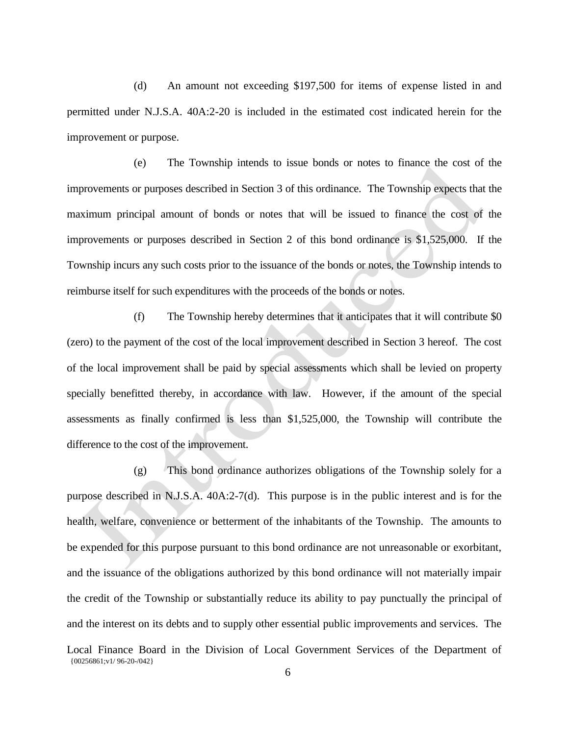(d) An amount not exceeding \$197,500 for items of expense listed in and permitted under N.J.S.A. 40A:2-20 is included in the estimated cost indicated herein for the improvement or purpose.

(e) The Township intends to issue bonds or notes to finance the cost of the improvements or purposes described in Section 3 of this ordinance. The Township expects that the maximum principal amount of bonds or notes that will be issued to finance the cost of the improvements or purposes described in Section 2 of this bond ordinance is \$1,525,000. If the Township incurs any such costs prior to the issuance of the bonds or notes, the Township intends to reimburse itself for such expenditures with the proceeds of the bonds or notes.

(f) The Township hereby determines that it anticipates that it will contribute \$0 (zero) to the payment of the cost of the local improvement described in Section 3 hereof. The cost of the local improvement shall be paid by special assessments which shall be levied on property specially benefitted thereby, in accordance with law. However, if the amount of the special assessments as finally confirmed is less than \$1,525,000, the Township will contribute the difference to the cost of the improvement.

(g) This bond ordinance authorizes obligations of the Township solely for a purpose described in N.J.S.A. 40A:2-7(d). This purpose is in the public interest and is for the health, welfare, convenience or betterment of the inhabitants of the Township. The amounts to be expended for this purpose pursuant to this bond ordinance are not unreasonable or exorbitant, and the issuance of the obligations authorized by this bond ordinance will not materially impair the credit of the Township or substantially reduce its ability to pay punctually the principal of and the interest on its debts and to supply other essential public improvements and services. The

<sup>{00256861;</sup>v1/ 96-20-/042} Local Finance Board in the Division of Local Government Services of the Department of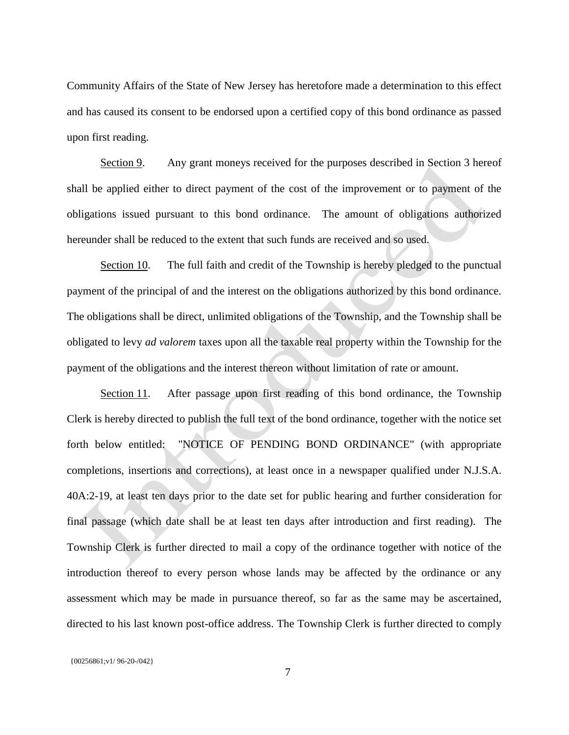Community Affairs of the State of New Jersey has heretofore made a determination to this effect and has caused its consent to be endorsed upon a certified copy of this bond ordinance as passed upon first reading.

Section 9. Any grant moneys received for the purposes described in Section 3 hereof shall be applied either to direct payment of the cost of the improvement or to payment of the obligations issued pursuant to this bond ordinance. The amount of obligations authorized hereunder shall be reduced to the extent that such funds are received and so used.

Section 10. The full faith and credit of the Township is hereby pledged to the punctual payment of the principal of and the interest on the obligations authorized by this bond ordinance. The obligations shall be direct, unlimited obligations of the Township, and the Township shall be obligated to levy *ad valorem* taxes upon all the taxable real property within the Township for the payment of the obligations and the interest thereon without limitation of rate or amount.

Section 11. After passage upon first reading of this bond ordinance, the Township Clerk is hereby directed to publish the full text of the bond ordinance, together with the notice set forth below entitled: "NOTICE OF PENDING BOND ORDINANCE" (with appropriate completions, insertions and corrections), at least once in a newspaper qualified under N.J.S.A. 40A:2-19, at least ten days prior to the date set for public hearing and further consideration for final passage (which date shall be at least ten days after introduction and first reading). The Township Clerk is further directed to mail a copy of the ordinance together with notice of the introduction thereof to every person whose lands may be affected by the ordinance or any assessment which may be made in pursuance thereof, so far as the same may be ascertained, directed to his last known post-office address. The Township Clerk is further directed to comply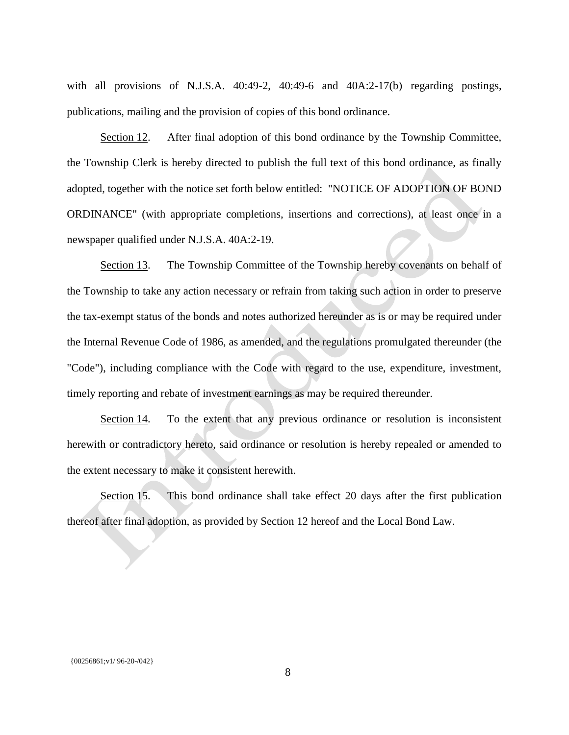with all provisions of N.J.S.A. 40:49-2, 40:49-6 and 40A:2-17(b) regarding postings, publications, mailing and the provision of copies of this bond ordinance.

Section 12. After final adoption of this bond ordinance by the Township Committee, the Township Clerk is hereby directed to publish the full text of this bond ordinance, as finally adopted, together with the notice set forth below entitled: "NOTICE OF ADOPTION OF BOND ORDINANCE" (with appropriate completions, insertions and corrections), at least once in a newspaper qualified under N.J.S.A. 40A:2-19.

Section 13. The Township Committee of the Township hereby covenants on behalf of the Township to take any action necessary or refrain from taking such action in order to preserve the tax-exempt status of the bonds and notes authorized hereunder as is or may be required under the Internal Revenue Code of 1986, as amended, and the regulations promulgated thereunder (the "Code"), including compliance with the Code with regard to the use, expenditure, investment, timely reporting and rebate of investment earnings as may be required thereunder.

Section 14. To the extent that any previous ordinance or resolution is inconsistent herewith or contradictory hereto, said ordinance or resolution is hereby repealed or amended to the extent necessary to make it consistent herewith.

Section 15. This bond ordinance shall take effect 20 days after the first publication thereof after final adoption, as provided by Section 12 hereof and the Local Bond Law.